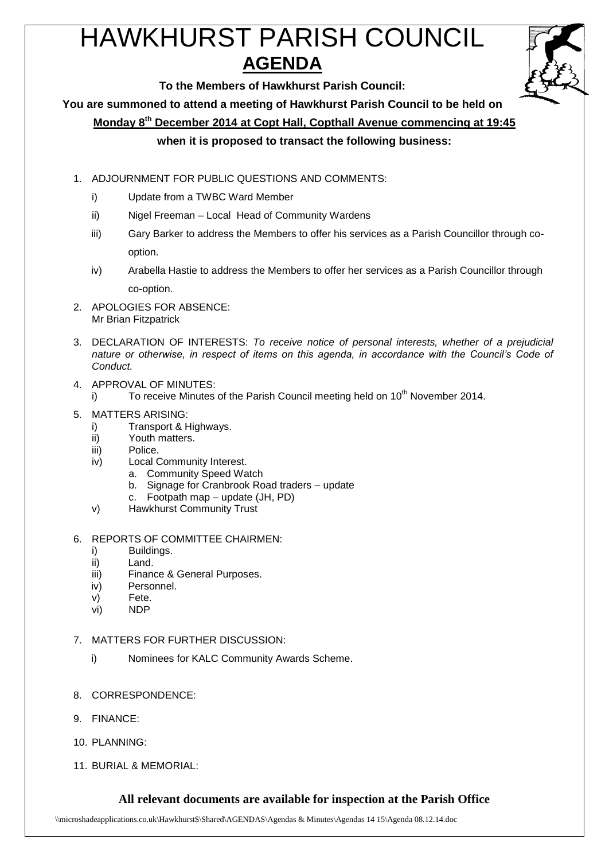# HAWKHURST PARISH COUNCIL **AGENDA**



**To the Members of Hawkhurst Parish Council:**

**You are summoned to attend a meeting of Hawkhurst Parish Council to be held on**

**Monday 8 th December 2014 at Copt Hall, Copthall Avenue commencing at 19:45**

# **when it is proposed to transact the following business:**

- 1. ADJOURNMENT FOR PUBLIC QUESTIONS AND COMMENTS:
	- i) Update from a TWBC Ward Member
	- ii) Nigel Freeman Local Head of Community Wardens
	- iii) Gary Barker to address the Members to offer his services as a Parish Councillor through cooption.
	- iv) Arabella Hastie to address the Members to offer her services as a Parish Councillor through co-option.
- 2. APOLOGIES FOR ABSENCE: Mr Brian Fitzpatrick
- 3. DECLARATION OF INTERESTS: *To receive notice of personal interests, whether of a prejudicial nature or otherwise, in respect of items on this agenda, in accordance with the Council's Code of Conduct.*
- 4. APPROVAL OF MINUTES:
	- i) To receive Minutes of the Parish Council meeting held on 10<sup>th</sup> November 2014.
- 5. MATTERS ARISING:
	- i) Transport & Highways.
	- ii) Youth matters.
	- iii) Police.
	- iv) Local Community Interest.
		- a. Community Speed Watch
		- b. Signage for Cranbrook Road traders update
		- c. Footpath map update (JH, PD)
	- v) Hawkhurst Community Trust
- 6. REPORTS OF COMMITTEE CHAIRMEN:
	- i) Buildings.
	- ii) Land.
	- iii) Finance & General Purposes.
	- iv) Personnel.
	- v) Fete.
	- vi) NDP
- 7. MATTERS FOR FURTHER DISCUSSION:
	- i) Nominees for KALC Community Awards Scheme.
- 8. CORRESPONDENCE:
- 9. FINANCE:
- 10. PLANNING:
- 11. BURIAL & MEMORIAL:

# **All relevant documents are available for inspection at the Parish Office**

\\microshadeapplications.co.uk\Hawkhurst\$\Shared\AGENDAS\Agendas & Minutes\Agendas 14 15\Agenda 08.12.14.doc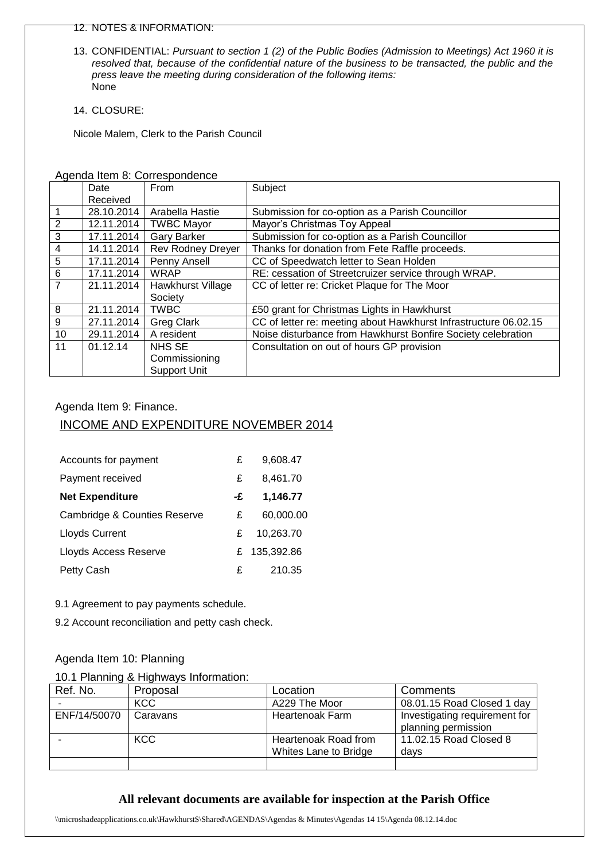#### 12. NOTES & INFORMATION:

- 13. CONFIDENTIAL: *Pursuant to section 1 (2) of the Public Bodies (Admission to Meetings) Act 1960 it is resolved that, because of the confidential nature of the business to be transacted, the public and the press leave the meeting during consideration of the following items:* None
- 14. CLOSURE:

Nicole Malem, Clerk to the Parish Council

|                | Date       | From                     | Subject                                                          |  |  |
|----------------|------------|--------------------------|------------------------------------------------------------------|--|--|
|                | Received   |                          |                                                                  |  |  |
| $\overline{1}$ | 28.10.2014 | Arabella Hastie          | Submission for co-option as a Parish Councillor                  |  |  |
| 2              | 12.11.2014 | <b>TWBC Mayor</b>        | Mayor's Christmas Toy Appeal                                     |  |  |
| 3              | 17.11.2014 | <b>Gary Barker</b>       | Submission for co-option as a Parish Councillor                  |  |  |
| $\overline{4}$ | 14.11.2014 | <b>Rev Rodney Dreyer</b> | Thanks for donation from Fete Raffle proceeds.                   |  |  |
| 5              | 17.11.2014 | Penny Ansell             | CC of Speedwatch letter to Sean Holden                           |  |  |
| 6              | 17.11.2014 | <b>WRAP</b>              | RE: cessation of Streetcruizer service through WRAP.             |  |  |
| $\overline{7}$ | 21.11.2014 | Hawkhurst Village        | CC of letter re: Cricket Plaque for The Moor                     |  |  |
|                |            | Society                  |                                                                  |  |  |
| 8              | 21.11.2014 | <b>TWBC</b>              | £50 grant for Christmas Lights in Hawkhurst                      |  |  |
| 9              | 27.11.2014 | <b>Greg Clark</b>        | CC of letter re: meeting about Hawkhurst Infrastructure 06.02.15 |  |  |
| 10             | 29.11.2014 | A resident               | Noise disturbance from Hawkhurst Bonfire Society celebration     |  |  |
| 11             | 01.12.14   | NHS SE                   | Consultation on out of hours GP provision                        |  |  |
|                |            | Commissioning            |                                                                  |  |  |
|                |            | <b>Support Unit</b>      |                                                                  |  |  |

#### Agenda Item 8: Correspondence

#### Agenda Item 9: Finance.

# INCOME AND EXPENDITURE NOVEMBER 2014

| Accounts for payment                    | £  | 9,608.47     |
|-----------------------------------------|----|--------------|
| Payment received                        | £  | 8,461.70     |
| <b>Net Expenditure</b>                  | -£ | 1,146.77     |
| <b>Cambridge &amp; Counties Reserve</b> | £  | 60,000,00    |
| Lloyds Current                          | £  | 10.263.70    |
| Lloyds Access Reserve                   |    | £ 135,392.86 |
| Petty Cash                              | £  | 210.35       |

9.1 Agreement to pay payments schedule.

9.2 Account reconciliation and petty cash check.

#### Agenda Item 10: Planning

|  |  |  | 10.1 Planning & Highways Information: |
|--|--|--|---------------------------------------|
|--|--|--|---------------------------------------|

| Ref. No.     | Proposal   | Location              | Comments                      |
|--------------|------------|-----------------------|-------------------------------|
|              | <b>KCC</b> | A229 The Moor         | 08.01.15 Road Closed 1 day    |
| ENF/14/50070 | Caravans   | Heartenoak Farm       | Investigating requirement for |
|              |            |                       | planning permission           |
|              | <b>KCC</b> | Heartenoak Road from  | 11.02.15 Road Closed 8        |
|              |            | Whites Lane to Bridge | days                          |
|              |            |                       |                               |

#### **All relevant documents are available for inspection at the Parish Office**

\\microshadeapplications.co.uk\Hawkhurst\$\Shared\AGENDAS\Agendas & Minutes\Agendas 14 15\Agenda 08.12.14.doc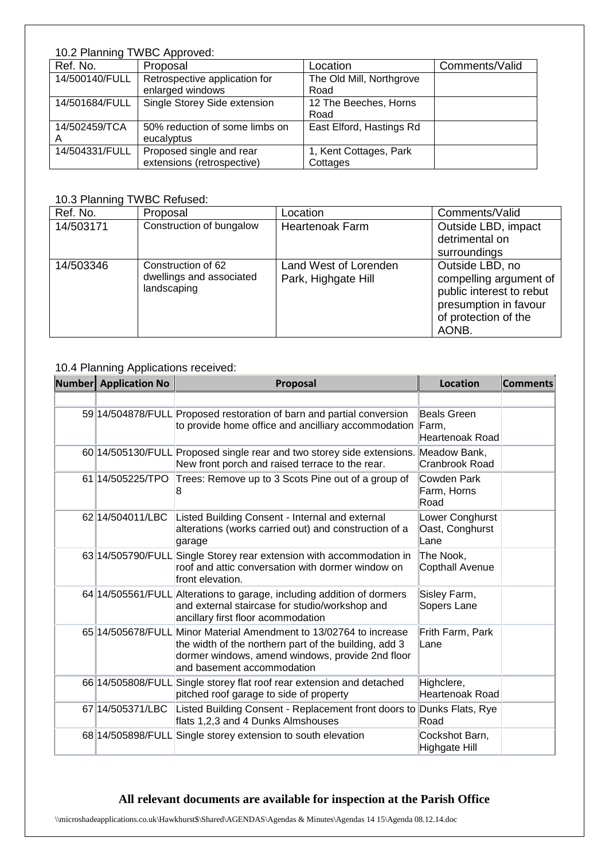# 10.2 Planning TWBC Approved:

| Ref. No.       | Proposal                       | Location                 | Comments/Valid |
|----------------|--------------------------------|--------------------------|----------------|
| 14/500140/FULL | Retrospective application for  | The Old Mill, Northgrove |                |
|                | enlarged windows               | Road                     |                |
| 14/501684/FULL | Single Storey Side extension   | 12 The Beeches, Horns    |                |
|                |                                | Road                     |                |
| 14/502459/TCA  | 50% reduction of some limbs on | East Elford, Hastings Rd |                |
| A              | eucalyptus                     |                          |                |
| 14/504331/FULL | Proposed single and rear       | 1, Kent Cottages, Park   |                |
|                | extensions (retrospective)     | Cottages                 |                |

# 10.3 Planning TWBC Refused:

| Ref. No.  | Proposal                                                      | Location                                     | Comments/Valid                                                                                                                  |
|-----------|---------------------------------------------------------------|----------------------------------------------|---------------------------------------------------------------------------------------------------------------------------------|
| 14/503171 | Construction of bungalow                                      | <b>Heartenoak Farm</b>                       | Outside LBD, impact                                                                                                             |
|           |                                                               |                                              | detrimental on                                                                                                                  |
|           |                                                               |                                              | surroundings                                                                                                                    |
| 14/503346 | Construction of 62<br>dwellings and associated<br>landscaping | Land West of Lorenden<br>Park, Highgate Hill | Outside LBD, no<br>compelling argument of<br>public interest to rebut<br>presumption in favour<br>of protection of the<br>AONB. |

### 10.4 Planning Applications received:

| <b>Number</b> Application No | Proposal                                                                                                                                                                                                      | <b>Location</b>                            | <b>Comments</b> |
|------------------------------|---------------------------------------------------------------------------------------------------------------------------------------------------------------------------------------------------------------|--------------------------------------------|-----------------|
|                              |                                                                                                                                                                                                               |                                            |                 |
|                              | 59 14/504878/FULL Proposed restoration of barn and partial conversion<br>to provide home office and ancilliary accommodation                                                                                  | Beals Green<br>Farm,<br>Heartenoak Road    |                 |
|                              | 60 14/505130/FULL Proposed single rear and two storey side extensions.<br>New front porch and raised terrace to the rear.                                                                                     | Meadow Bank,<br>Cranbrook Road             |                 |
| 61 14/505225/TPO             | Trees: Remove up to 3 Scots Pine out of a group of                                                                                                                                                            | Cowden Park<br>Farm, Horns<br>Road         |                 |
| 62 14/504011/LBC             | Listed Building Consent - Internal and external<br>alterations (works carried out) and construction of a<br>garage                                                                                            | Lower Conghurst<br>Oast, Conghurst<br>Lane |                 |
|                              | 63 14/505790/FULL Single Storey rear extension with accommodation in<br>roof and attic conversation with dormer window on<br>front elevation.                                                                 | The Nook,<br><b>Copthall Avenue</b>        |                 |
|                              | 64 14/505561/FULL Alterations to garage, including addition of dormers<br>and external staircase for studio/workshop and<br>ancillary first floor acommodation                                                | Sisley Farm,<br>Sopers Lane                |                 |
|                              | 65 14/505678/FULL Minor Material Amendment to 13/02764 to increase<br>the width of the northern part of the building, add 3<br>dormer windows, amend windows, provide 2nd floor<br>and basement accommodation | Frith Farm, Park<br>Lane                   |                 |
|                              | 66 14/505808/FULL Single storey flat roof rear extension and detached<br>pitched roof garage to side of property                                                                                              | Highclere,<br><b>Heartenoak Road</b>       |                 |
| 67 14/505371/LBC             | Listed Building Consent - Replacement front doors to Dunks Flats, Rye<br>flats 1,2,3 and 4 Dunks Almshouses                                                                                                   | Road                                       |                 |
|                              | 68 14/505898/FULL Single storey extension to south elevation                                                                                                                                                  | Cockshot Barn,<br><b>Highgate Hill</b>     |                 |

# **All relevant documents are available for inspection at the Parish Office**

\\microshadeapplications.co.uk\Hawkhurst\$\Shared\AGENDAS\Agendas & Minutes\Agendas 14 15\Agenda 08.12.14.doc